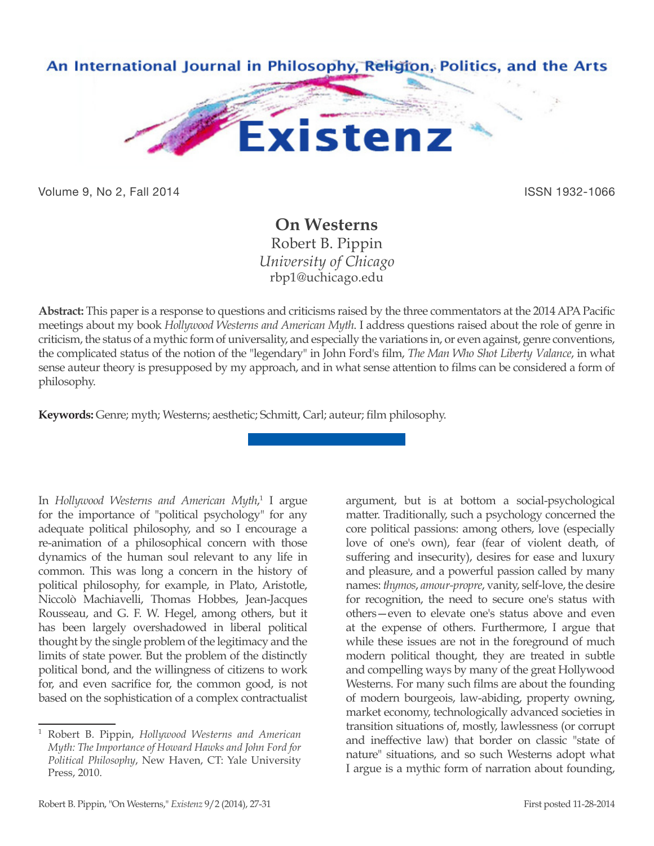

Volume 9, No 2, Fall 2014 **ISSN 1932-1066** 

## **On Westerns** Robert B. Pippin *University of Chicago* rbp1@uchicago.edu

**Abstract:** This paper is a response to questions and criticisms raised by the three commentators at the 2014 APA Pacific meetings about my book *Hollywood Westerns and American Myth*. I address questions raised about the role of genre in criticism, the status of a mythic form of universality, and especially the variations in, or even against, genre conventions, the complicated status of the notion of the "legendary" in John Ford's film, *The Man Who Shot Liberty Valance*, in what sense auteur theory is presupposed by my approach, and in what sense attention to films can be considered a form of philosophy.

**Keywords:** Genre; myth; Westerns; aesthetic; Schmitt, Carl; auteur; film philosophy.

In Hollywood Westerns and American Myth,<sup>1</sup> I argue for the importance of "political psychology" for any adequate political philosophy, and so I encourage a re-animation of a philosophical concern with those dynamics of the human soul relevant to any life in common. This was long a concern in the history of political philosophy, for example, in Plato, Aristotle, Niccolò Machiavelli, Thomas Hobbes, Jean-Jacques Rousseau, and G. F. W. Hegel, among others, but it has been largely overshadowed in liberal political thought by the single problem of the legitimacy and the limits of state power. But the problem of the distinctly political bond, and the willingness of citizens to work for, and even sacrifice for, the common good, is not based on the sophistication of a complex contractualist

argument, but is at bottom a social-psychological matter. Traditionally, such a psychology concerned the core political passions: among others, love (especially love of one's own), fear (fear of violent death, of suffering and insecurity), desires for ease and luxury and pleasure, and a powerful passion called by many names: *thymos*, *amour-propre*, vanity, self-love, the desire for recognition, the need to secure one's status with others—even to elevate one's status above and even at the expense of others. Furthermore, I argue that while these issues are not in the foreground of much modern political thought, they are treated in subtle and compelling ways by many of the great Hollywood Westerns. For many such films are about the founding of modern bourgeois, law-abiding, property owning, market economy, technologically advanced societies in transition situations of, mostly, lawlessness (or corrupt and ineffective law) that border on classic "state of nature" situations, and so such Westerns adopt what I argue is a mythic form of narration about founding,

<sup>1</sup> Robert B. Pippin, *Hollywood Westerns and American Myth: The Importance of Howard Hawks and John Ford for Political Philosophy*, New Haven, CT: Yale University Press, 2010.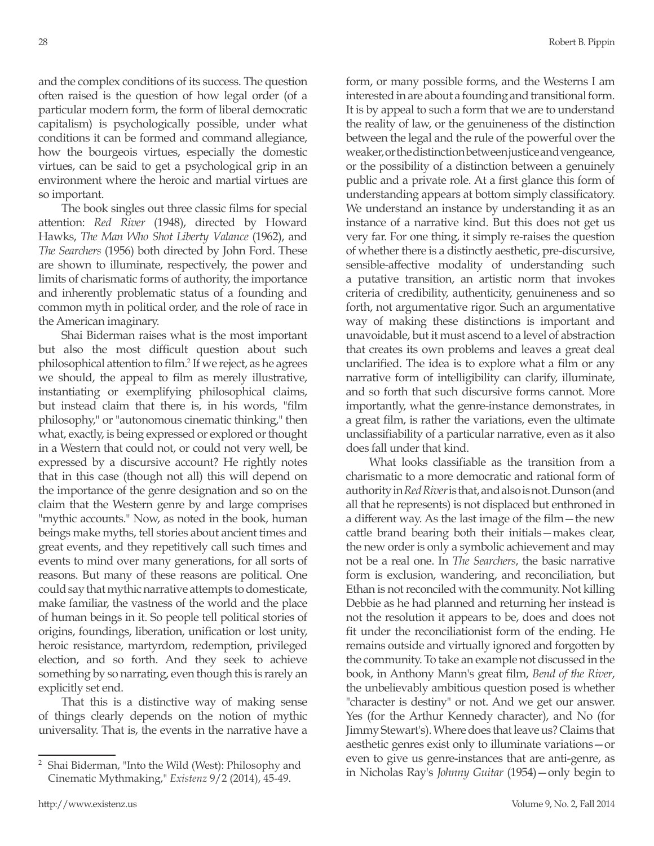and the complex conditions of its success. The question often raised is the question of how legal order (of a particular modern form, the form of liberal democratic capitalism) is psychologically possible, under what conditions it can be formed and command allegiance, how the bourgeois virtues, especially the domestic virtues, can be said to get a psychological grip in an environment where the heroic and martial virtues are so important.

The book singles out three classic films for special attention: *Red River* (1948), directed by Howard Hawks, *The Man Who Shot Liberty Valance* (1962), and *The Searchers* (1956) both directed by John Ford. These are shown to illuminate, respectively, the power and limits of charismatic forms of authority, the importance and inherently problematic status of a founding and common myth in political order, and the role of race in the American imaginary.

Shai Biderman raises what is the most important but also the most difficult question about such philosophical attention to film.<sup>2</sup> If we reject, as he agrees we should, the appeal to film as merely illustrative, instantiating or exemplifying philosophical claims, but instead claim that there is, in his words, "film philosophy," or "autonomous cinematic thinking," then what, exactly, is being expressed or explored or thought in a Western that could not, or could not very well, be expressed by a discursive account? He rightly notes that in this case (though not all) this will depend on the importance of the genre designation and so on the claim that the Western genre by and large comprises "mythic accounts." Now, as noted in the book, human beings make myths, tell stories about ancient times and great events, and they repetitively call such times and events to mind over many generations, for all sorts of reasons. But many of these reasons are political. One could say that mythic narrative attempts to domesticate, make familiar, the vastness of the world and the place of human beings in it. So people tell political stories of origins, foundings, liberation, unification or lost unity, heroic resistance, martyrdom, redemption, privileged election, and so forth. And they seek to achieve something by so narrating, even though this is rarely an explicitly set end.

That this is a distinctive way of making sense of things clearly depends on the notion of mythic universality. That is, the events in the narrative have a form, or many possible forms, and the Westerns I am interested in are about a founding and transitional form. It is by appeal to such a form that we are to understand the reality of law, or the genuineness of the distinction between the legal and the rule of the powerful over the weaker, or the distinction between justice and vengeance, or the possibility of a distinction between a genuinely public and a private role. At a first glance this form of understanding appears at bottom simply classificatory. We understand an instance by understanding it as an instance of a narrative kind. But this does not get us very far. For one thing, it simply re-raises the question of whether there is a distinctly aesthetic, pre-discursive, sensible-affective modality of understanding such a putative transition, an artistic norm that invokes criteria of credibility, authenticity, genuineness and so forth, not argumentative rigor. Such an argumentative way of making these distinctions is important and unavoidable, but it must ascend to a level of abstraction that creates its own problems and leaves a great deal unclarified. The idea is to explore what a film or any narrative form of intelligibility can clarify, illuminate, and so forth that such discursive forms cannot. More importantly, what the genre-instance demonstrates, in a great film, is rather the variations, even the ultimate unclassifiability of a particular narrative, even as it also does fall under that kind.

What looks classifiable as the transition from a charismatic to a more democratic and rational form of authority in *Red River* is that, and also is not. Dunson (and all that he represents) is not displaced but enthroned in a different way. As the last image of the film—the new cattle brand bearing both their initials—makes clear, the new order is only a symbolic achievement and may not be a real one. In *The Searchers*, the basic narrative form is exclusion, wandering, and reconciliation, but Ethan is not reconciled with the community. Not killing Debbie as he had planned and returning her instead is not the resolution it appears to be, does and does not fit under the reconciliationist form of the ending. He remains outside and virtually ignored and forgotten by the community. To take an example not discussed in the book, in Anthony Mann's great film, *Bend of the River*, the unbelievably ambitious question posed is whether "character is destiny" or not. And we get our answer. Yes (for the Arthur Kennedy character), and No (for Jimmy Stewart's). Where does that leave us? Claims that aesthetic genres exist only to illuminate variations—or even to give us genre-instances that are anti-genre, as in Nicholas Ray's *Johnny Guitar* (1954)—only begin to

<sup>2</sup> Shai Biderman, "Into the Wild (West): Philosophy and Cinematic Mythmaking," *Existenz* 9/2 (2014), 45-49.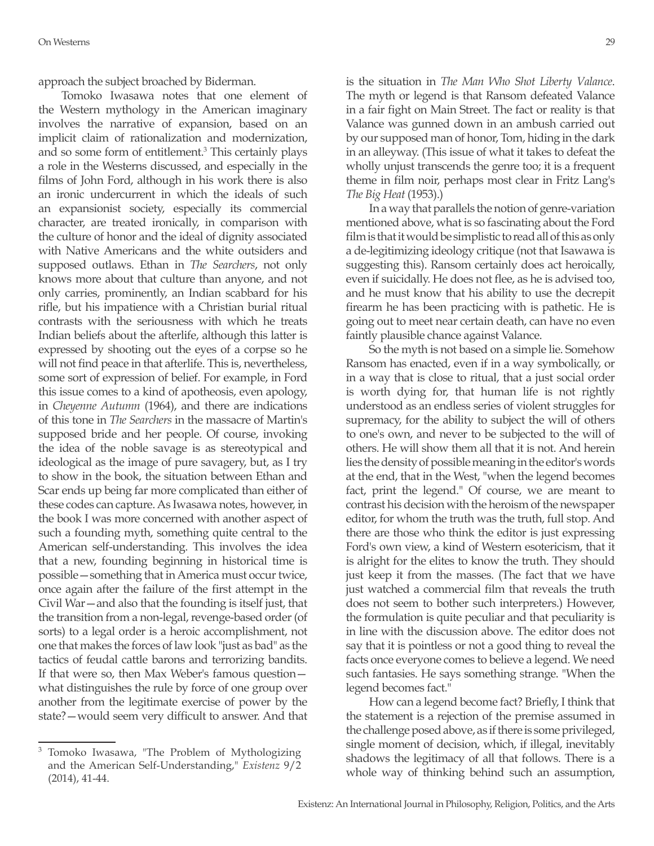approach the subject broached by Biderman.

Tomoko Iwasawa notes that one element of the Western mythology in the American imaginary involves the narrative of expansion, based on an implicit claim of rationalization and modernization, and so some form of entitlement.3 This certainly plays a role in the Westerns discussed, and especially in the films of John Ford, although in his work there is also an ironic undercurrent in which the ideals of such an expansionist society, especially its commercial character, are treated ironically, in comparison with the culture of honor and the ideal of dignity associated with Native Americans and the white outsiders and supposed outlaws. Ethan in *The Searchers*, not only knows more about that culture than anyone, and not only carries, prominently, an Indian scabbard for his rifle, but his impatience with a Christian burial ritual contrasts with the seriousness with which he treats Indian beliefs about the afterlife, although this latter is expressed by shooting out the eyes of a corpse so he will not find peace in that afterlife. This is, nevertheless, some sort of expression of belief. For example, in Ford this issue comes to a kind of apotheosis, even apology, in *Cheyenne Autumn* (1964), and there are indications of this tone in *The Searchers* in the massacre of Martin's supposed bride and her people. Of course, invoking the idea of the noble savage is as stereotypical and ideological as the image of pure savagery, but, as I try to show in the book, the situation between Ethan and Scar ends up being far more complicated than either of these codes can capture. As Iwasawa notes, however, in the book I was more concerned with another aspect of such a founding myth, something quite central to the American self-understanding. This involves the idea that a new, founding beginning in historical time is possible—something that in America must occur twice, once again after the failure of the first attempt in the Civil War—and also that the founding is itself just, that the transition from a non-legal, revenge-based order (of sorts) to a legal order is a heroic accomplishment, not one that makes the forces of law look "just as bad" as the tactics of feudal cattle barons and terrorizing bandits. If that were so, then Max Weber's famous question what distinguishes the rule by force of one group over another from the legitimate exercise of power by the state?—would seem very difficult to answer. And that

is the situation in *The Man Who Shot Liberty Valance*. The myth or legend is that Ransom defeated Valance in a fair fight on Main Street. The fact or reality is that Valance was gunned down in an ambush carried out by our supposed man of honor, Tom, hiding in the dark in an alleyway. (This issue of what it takes to defeat the wholly unjust transcends the genre too; it is a frequent theme in film noir, perhaps most clear in Fritz Lang's *The Big Heat* (1953).)

In a way that parallels the notion of genre-variation mentioned above, what is so fascinating about the Ford film is that it would be simplistic to read all of this as only a de-legitimizing ideology critique (not that Isawawa is suggesting this). Ransom certainly does act heroically, even if suicidally. He does not flee, as he is advised too, and he must know that his ability to use the decrepit firearm he has been practicing with is pathetic. He is going out to meet near certain death, can have no even faintly plausible chance against Valance.

So the myth is not based on a simple lie. Somehow Ransom has enacted, even if in a way symbolically, or in a way that is close to ritual, that a just social order is worth dying for, that human life is not rightly understood as an endless series of violent struggles for supremacy, for the ability to subject the will of others to one's own, and never to be subjected to the will of others. He will show them all that it is not. And herein lies the density of possible meaning in the editor's words at the end, that in the West, "when the legend becomes fact, print the legend." Of course, we are meant to contrast his decision with the heroism of the newspaper editor, for whom the truth was the truth, full stop. And there are those who think the editor is just expressing Ford's own view, a kind of Western esotericism, that it is alright for the elites to know the truth. They should just keep it from the masses. (The fact that we have just watched a commercial film that reveals the truth does not seem to bother such interpreters.) However, the formulation is quite peculiar and that peculiarity is in line with the discussion above. The editor does not say that it is pointless or not a good thing to reveal the facts once everyone comes to believe a legend. We need such fantasies. He says something strange. "When the legend becomes fact."

How can a legend become fact? Briefly, I think that the statement is a rejection of the premise assumed in the challenge posed above, as if there is some privileged, single moment of decision, which, if illegal, inevitably shadows the legitimacy of all that follows. There is a whole way of thinking behind such an assumption,

<sup>3</sup> Tomoko Iwasawa, "The Problem of Mythologizing and the American Self-Understanding," *Existenz* 9/2 (2014), 41-44.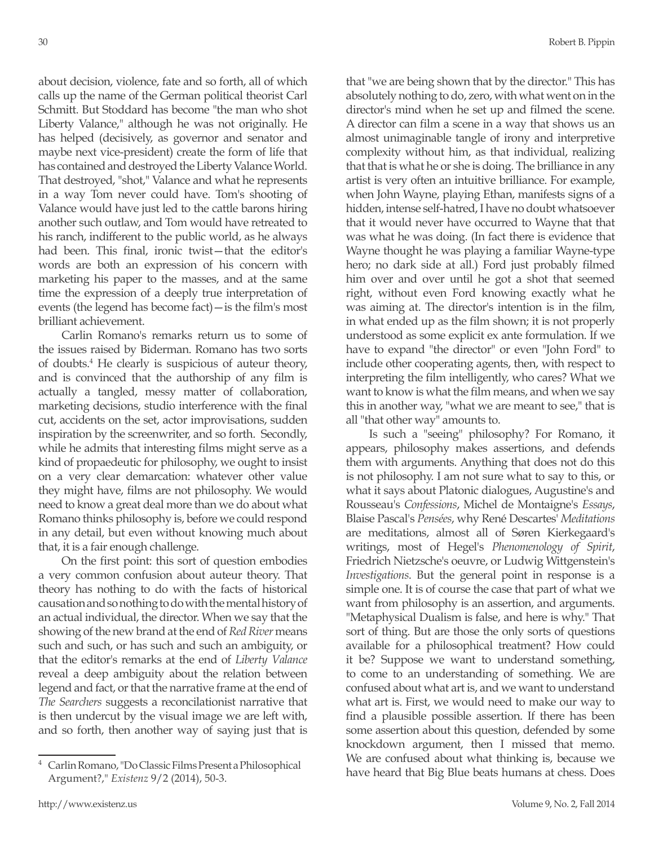about decision, violence, fate and so forth, all of which calls up the name of the German political theorist Carl Schmitt. But Stoddard has become "the man who shot Liberty Valance," although he was not originally. He has helped (decisively, as governor and senator and maybe next vice-president) create the form of life that has contained and destroyed the Liberty Valance World. That destroyed, "shot," Valance and what he represents in a way Tom never could have. Tom's shooting of Valance would have just led to the cattle barons hiring another such outlaw, and Tom would have retreated to his ranch, indifferent to the public world, as he always had been. This final, ironic twist—that the editor's words are both an expression of his concern with marketing his paper to the masses, and at the same time the expression of a deeply true interpretation of events (the legend has become fact)—is the film's most brilliant achievement.

Carlin Romano's remarks return us to some of the issues raised by Biderman. Romano has two sorts of doubts.4 He clearly is suspicious of auteur theory, and is convinced that the authorship of any film is actually a tangled, messy matter of collaboration, marketing decisions, studio interference with the final cut, accidents on the set, actor improvisations, sudden inspiration by the screenwriter, and so forth. Secondly, while he admits that interesting films might serve as a kind of propaedeutic for philosophy, we ought to insist on a very clear demarcation: whatever other value they might have, films are not philosophy. We would need to know a great deal more than we do about what Romano thinks philosophy is, before we could respond in any detail, but even without knowing much about that, it is a fair enough challenge.

On the first point: this sort of question embodies a very common confusion about auteur theory. That theory has nothing to do with the facts of historical causation and so nothing to do with the mental history of an actual individual, the director. When we say that the showing of the new brand at the end of *Red River* means such and such, or has such and such an ambiguity, or that the editor's remarks at the end of *Liberty Valance* reveal a deep ambiguity about the relation between legend and fact, or that the narrative frame at the end of *The Searchers* suggests a reconcilationist narrative that is then undercut by the visual image we are left with, and so forth, then another way of saying just that is that "we are being shown that by the director." This has absolutely nothing to do, zero, with what went on in the director's mind when he set up and filmed the scene. A director can film a scene in a way that shows us an almost unimaginable tangle of irony and interpretive complexity without him, as that individual, realizing that that is what he or she is doing. The brilliance in any artist is very often an intuitive brilliance. For example, when John Wayne, playing Ethan, manifests signs of a hidden, intense self-hatred, I have no doubt whatsoever that it would never have occurred to Wayne that that was what he was doing. (In fact there is evidence that Wayne thought he was playing a familiar Wayne-type hero; no dark side at all.) Ford just probably filmed him over and over until he got a shot that seemed right, without even Ford knowing exactly what he was aiming at. The director's intention is in the film, in what ended up as the film shown; it is not properly understood as some explicit ex ante formulation. If we have to expand "the director" or even "John Ford" to include other cooperating agents, then, with respect to interpreting the film intelligently, who cares? What we want to know is what the film means, and when we say this in another way, "what we are meant to see," that is all "that other way" amounts to.

Is such a "seeing" philosophy? For Romano, it appears, philosophy makes assertions, and defends them with arguments. Anything that does not do this is not philosophy. I am not sure what to say to this, or what it says about Platonic dialogues, Augustine's and Rousseau's *Confessions*, Michel de Montaigne's *Essays*, Blaise Pascal's *Pensées*, why René Descartes' *Meditations*  are meditations, almost all of Søren Kierkegaard's writings, most of Hegel's *Phenomenology of Spirit*, Friedrich Nietzsche's oeuvre, or Ludwig Wittgenstein's *Investigations*. But the general point in response is a simple one. It is of course the case that part of what we want from philosophy is an assertion, and arguments. "Metaphysical Dualism is false, and here is why." That sort of thing. But are those the only sorts of questions available for a philosophical treatment? How could it be? Suppose we want to understand something, to come to an understanding of something. We are confused about what art is, and we want to understand what art is. First, we would need to make our way to find a plausible possible assertion. If there has been some assertion about this question, defended by some knockdown argument, then I missed that memo. We are confused about what thinking is, because we have heard that Big Blue beats humans at chess. Does

<sup>4</sup> Carlin Romano, "Do Classic Films Present a Philosophical Argument?," *Existenz* 9/2 (2014), 50-3.